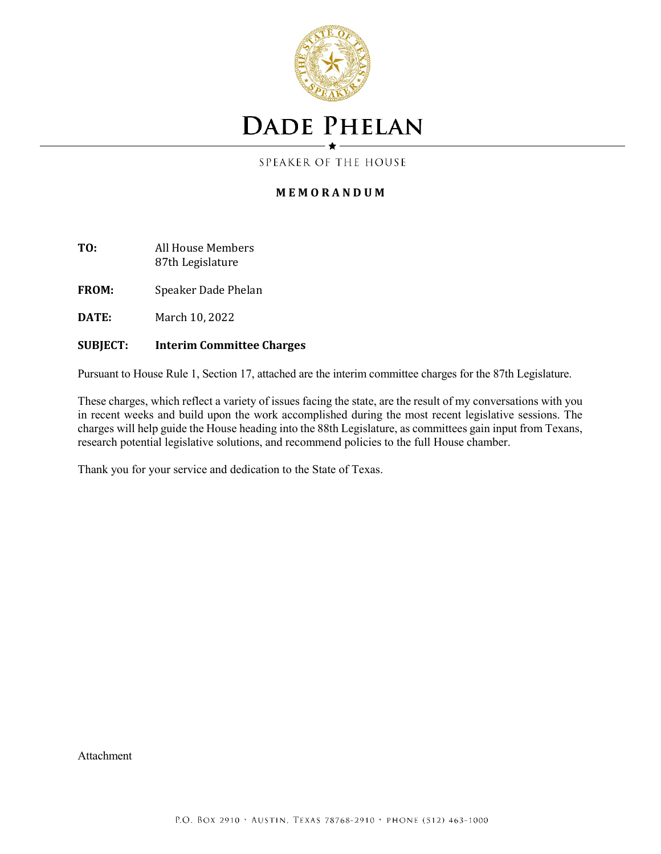

## **DADE PHELAN**

SPEAKER OF THE HOUSE

#### **M E M O R A N D U M**

- **TO:** All House Members 87th Legislature
- **FROM:** Speaker Dade Phelan
- **DATE:** March 10, 2022

#### **SUBJECT: Interim Committee Charges**

Pursuant to House Rule 1, Section 17, attached are the interim committee charges for the 87th Legislature.

These charges, which reflect a variety of issues facing the state, are the result of my conversations with you in recent weeks and build upon the work accomplished during the most recent legislative sessions. The charges will help guide the House heading into the 88th Legislature, as committees gain input from Texans, research potential legislative solutions, and recommend policies to the full House chamber.

Thank you for your service and dedication to the State of Texas.

Attachment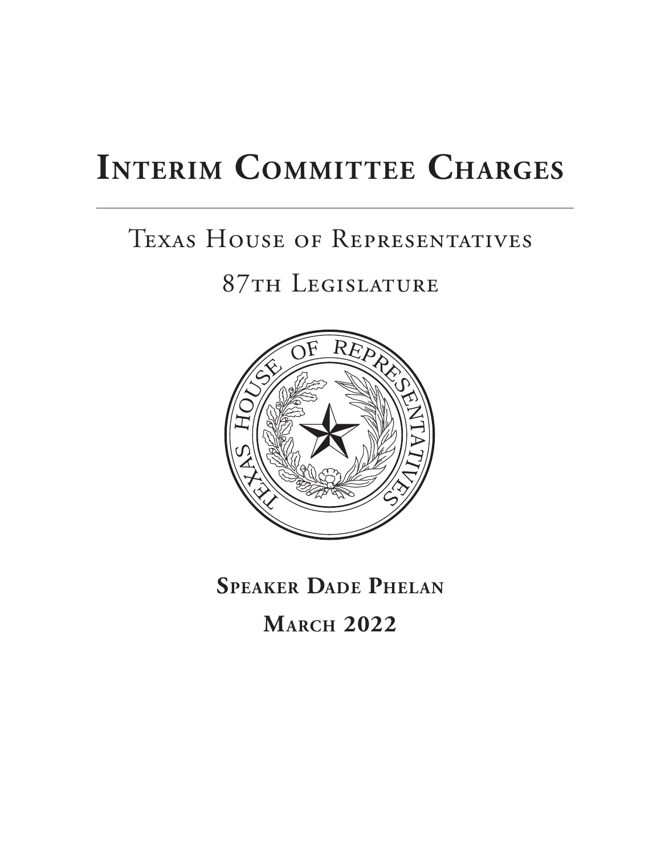# **INTERIM COMMITTEE CHARGES**

# Texas House of Representatives

### 87th Legislature



**SPEAKER DADE PHELAN**

**MARCH 2022**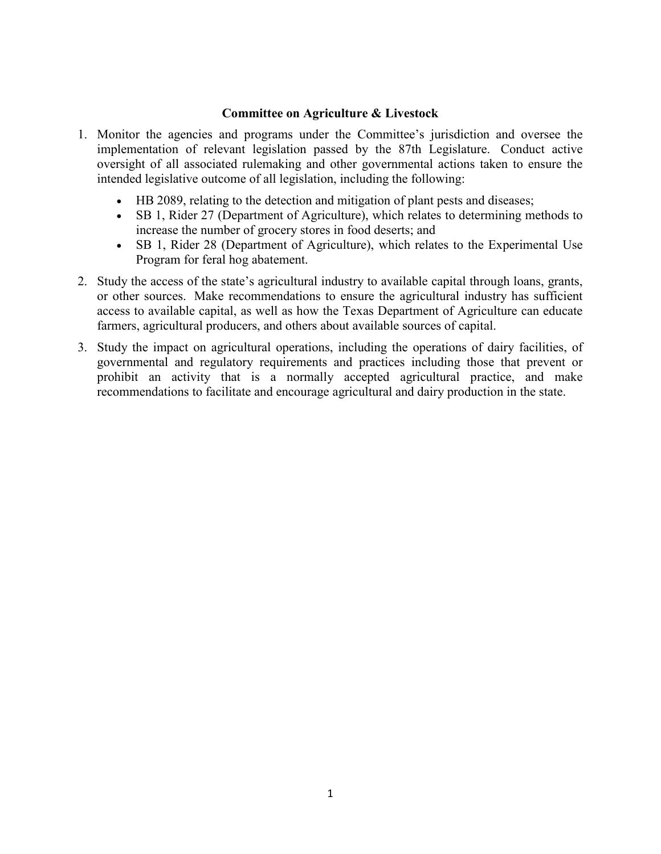#### **Committee on Agriculture & Livestock**

- 1. Monitor the agencies and programs under the Committee's jurisdiction and oversee the implementation of relevant legislation passed by the 87th Legislature. Conduct active oversight of all associated rulemaking and other governmental actions taken to ensure the intended legislative outcome of all legislation, including the following:
	- x HB 2089, relating to the detection and mitigation of plant pests and diseases;
	- SB 1, Rider 27 (Department of Agriculture), which relates to determining methods to increase the number of grocery stores in food deserts; and
	- SB 1, Rider 28 (Department of Agriculture), which relates to the Experimental Use Program for feral hog abatement.
- 2. Study the access of the state's agricultural industry to available capital through loans, grants, or other sources. Make recommendations to ensure the agricultural industry has sufficient access to available capital, as well as how the Texas Department of Agriculture can educate farmers, agricultural producers, and others about available sources of capital.
- 3. Study the impact on agricultural operations, including the operations of dairy facilities, of governmental and regulatory requirements and practices including those that prevent or prohibit an activity that is a normally accepted agricultural practice, and make recommendations to facilitate and encourage agricultural and dairy production in the state.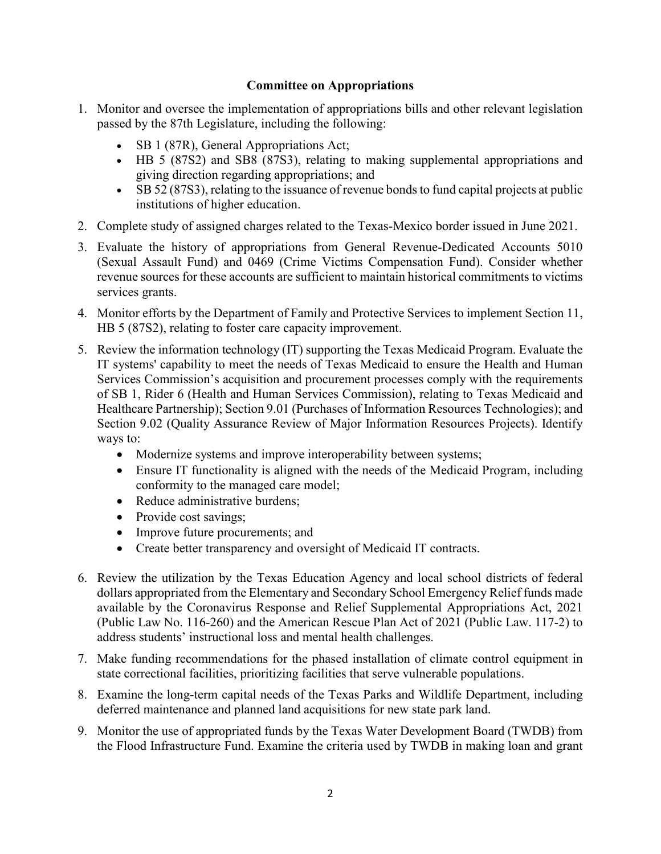#### **Committee on Appropriations**

- 1. Monitor and oversee the implementation of appropriations bills and other relevant legislation passed by the 87th Legislature, including the following:
	- $\bullet$  SB 1 (87R), General Appropriations Act;
	- HB 5 (87S2) and SB8 (87S3), relating to making supplemental appropriations and giving direction regarding appropriations; and
	- SB 52 (87S3), relating to the issuance of revenue bonds to fund capital projects at public institutions of higher education.
- 2. Complete study of assigned charges related to the Texas-Mexico border issued in June 2021.
- 3. Evaluate the history of appropriations from General Revenue-Dedicated Accounts 5010 (Sexual Assault Fund) and 0469 (Crime Victims Compensation Fund). Consider whether revenue sources for these accounts are sufficient to maintain historical commitments to victims services grants.
- 4. Monitor efforts by the Department of Family and Protective Services to implement Section 11, HB 5 (87S2), relating to foster care capacity improvement.
- 5. Review the information technology (IT) supporting the Texas Medicaid Program. Evaluate the IT systems' capability to meet the needs of Texas Medicaid to ensure the Health and Human Services Commission's acquisition and procurement processes comply with the requirements of SB 1, Rider 6 (Health and Human Services Commission), relating to Texas Medicaid and Healthcare Partnership); Section 9.01 (Purchases of Information Resources Technologies); and Section 9.02 (Quality Assurance Review of Major Information Resources Projects). Identify ways to:
	- Modernize systems and improve interoperability between systems;
	- Ensure IT functionality is aligned with the needs of the Medicaid Program, including conformity to the managed care model;
	- Reduce administrative burdens;
	- $\bullet$  Provide cost savings;
	- Improve future procurements; and
	- Create better transparency and oversight of Medicaid IT contracts.
- 6. Review the utilization by the Texas Education Agency and local school districts of federal dollars appropriated from the Elementary and Secondary School Emergency Relief funds made available by the Coronavirus Response and Relief Supplemental Appropriations Act, 2021 (Public Law No. 116-260) and the American Rescue Plan Act of 2021 (Public Law. 117-2) to address students' instructional loss and mental health challenges.
- 7. Make funding recommendations for the phased installation of climate control equipment in state correctional facilities, prioritizing facilities that serve vulnerable populations.
- 8. Examine the long-term capital needs of the Texas Parks and Wildlife Department, including deferred maintenance and planned land acquisitions for new state park land.
- 9. Monitor the use of appropriated funds by the Texas Water Development Board (TWDB) from the Flood Infrastructure Fund. Examine the criteria used by TWDB in making loan and grant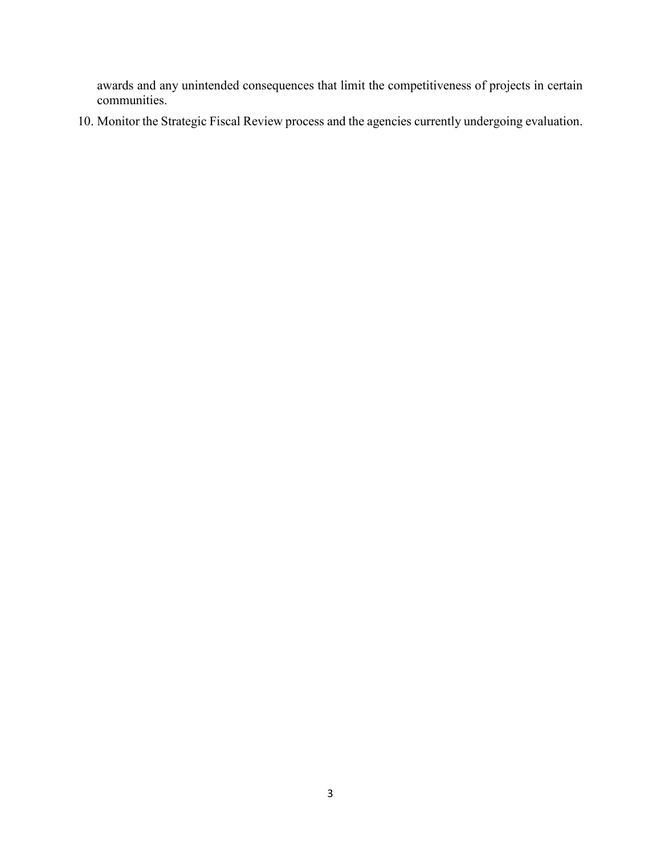awards and any unintended consequences that limit the competitiveness of projects in certain communities.

10. Monitor the Strategic Fiscal Review process and the agencies currently undergoing evaluation.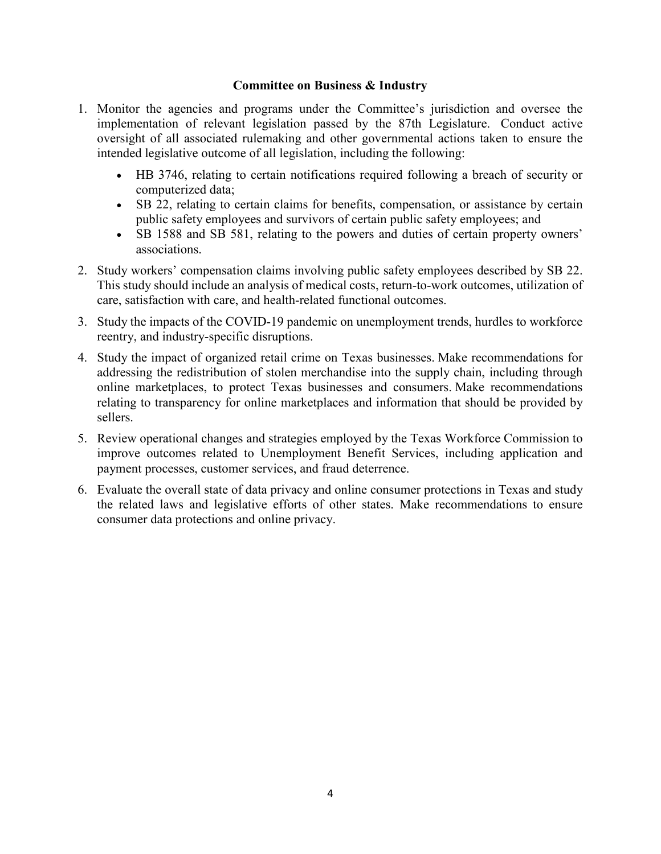#### **Committee on Business & Industry**

- 1. Monitor the agencies and programs under the Committee's jurisdiction and oversee the implementation of relevant legislation passed by the 87th Legislature. Conduct active oversight of all associated rulemaking and other governmental actions taken to ensure the intended legislative outcome of all legislation, including the following:
	- x HB 3746, relating to certain notifications required following a breach of security or computerized data;
	- SB 22, relating to certain claims for benefits, compensation, or assistance by certain public safety employees and survivors of certain public safety employees; and
	- SB 1588 and SB 581, relating to the powers and duties of certain property owners' associations.
- 2. Study workers' compensation claims involving public safety employees described by SB 22. This study should include an analysis of medical costs, return-to-work outcomes, utilization of care, satisfaction with care, and health-related functional outcomes.
- 3. Study the impacts of the COVID-19 pandemic on unemployment trends, hurdles to workforce reentry, and industry-specific disruptions.
- 4. Study the impact of organized retail crime on Texas businesses. Make recommendations for addressing the redistribution of stolen merchandise into the supply chain, including through online marketplaces, to protect Texas businesses and consumers. Make recommendations relating to transparency for online marketplaces and information that should be provided by sellers.
- 5. Review operational changes and strategies employed by the Texas Workforce Commission to improve outcomes related to Unemployment Benefit Services, including application and payment processes, customer services, and fraud deterrence.
- 6. Evaluate the overall state of data privacy and online consumer protections in Texas and study the related laws and legislative efforts of other states. Make recommendations to ensure consumer data protections and online privacy.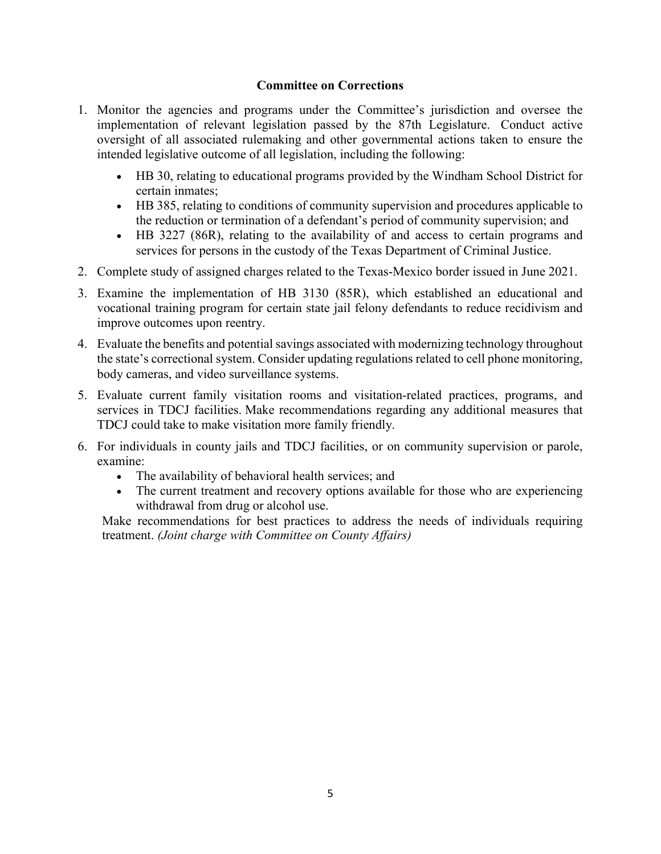#### **Committee on Corrections**

- 1. Monitor the agencies and programs under the Committee's jurisdiction and oversee the implementation of relevant legislation passed by the 87th Legislature. Conduct active oversight of all associated rulemaking and other governmental actions taken to ensure the intended legislative outcome of all legislation, including the following:
	- HB 30, relating to educational programs provided by the Windham School District for certain inmates;
	- x HB 385, relating to conditions of community supervision and procedures applicable to the reduction or termination of a defendant's period of community supervision; and
	- HB 3227 (86R), relating to the availability of and access to certain programs and services for persons in the custody of the Texas Department of Criminal Justice.
- 2. Complete study of assigned charges related to the Texas-Mexico border issued in June 2021.
- 3. Examine the implementation of HB 3130 (85R), which established an educational and vocational training program for certain state jail felony defendants to reduce recidivism and improve outcomes upon reentry.
- 4. Evaluate the benefits and potential savings associated with modernizing technology throughout the state's correctional system. Consider updating regulations related to cell phone monitoring, body cameras, and video surveillance systems.
- 5. Evaluate current family visitation rooms and visitation-related practices, programs, and services in TDCJ facilities. Make recommendations regarding any additional measures that TDCJ could take to make visitation more family friendly.
- 6. For individuals in county jails and TDCJ facilities, or on community supervision or parole, examine:
	- The availability of behavioral health services; and
	- The current treatment and recovery options available for those who are experiencing withdrawal from drug or alcohol use.

Make recommendations for best practices to address the needs of individuals requiring treatment. *(Joint charge with Committee on County Affairs)*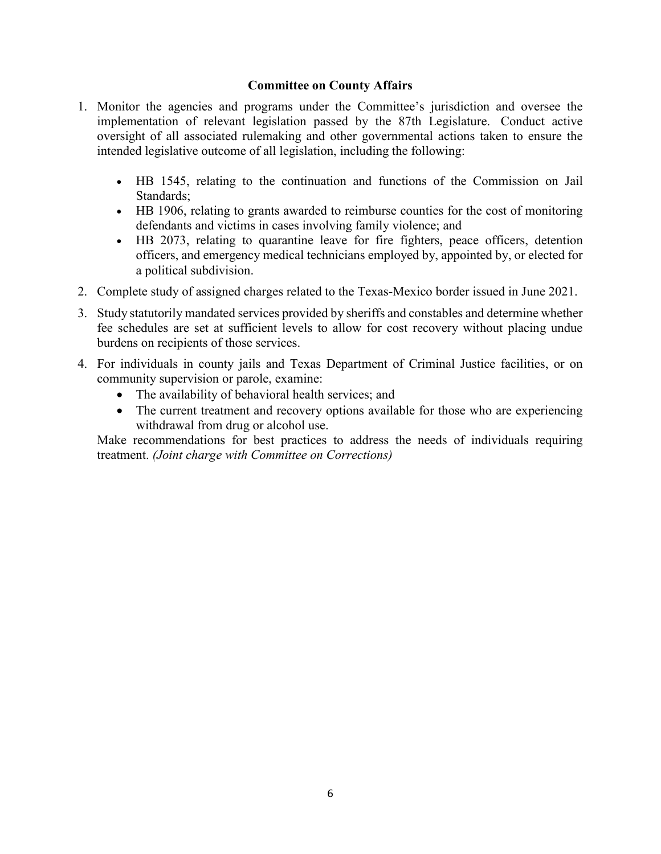#### **Committee on County Affairs**

- 1. Monitor the agencies and programs under the Committee's jurisdiction and oversee the implementation of relevant legislation passed by the 87th Legislature. Conduct active oversight of all associated rulemaking and other governmental actions taken to ensure the intended legislative outcome of all legislation, including the following:
	- x HB 1545, relating to the continuation and functions of the Commission on Jail Standards;
	- HB 1906, relating to grants awarded to reimburse counties for the cost of monitoring defendants and victims in cases involving family violence; and
	- HB 2073, relating to quarantine leave for fire fighters, peace officers, detention officers, and emergency medical technicians employed by, appointed by, or elected for a political subdivision.
- 2. Complete study of assigned charges related to the Texas-Mexico border issued in June 2021.
- 3. Study statutorily mandated services provided by sheriffs and constables and determine whether fee schedules are set at sufficient levels to allow for cost recovery without placing undue burdens on recipients of those services.
- 4. For individuals in county jails and Texas Department of Criminal Justice facilities, or on community supervision or parole, examine:
	- $\bullet$  The availability of behavioral health services; and
	- The current treatment and recovery options available for those who are experiencing withdrawal from drug or alcohol use.

Make recommendations for best practices to address the needs of individuals requiring treatment. *(Joint charge with Committee on Corrections)*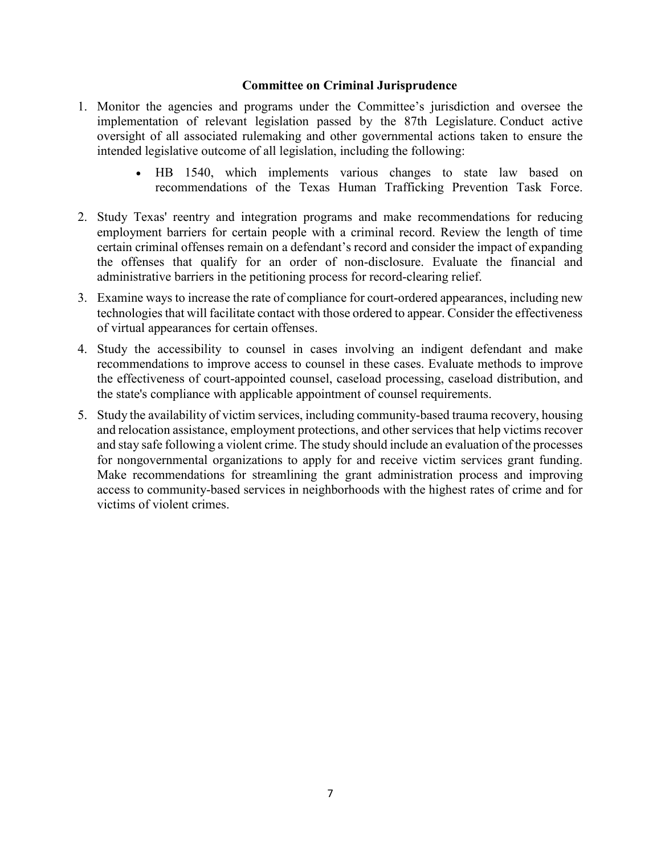#### **Committee on Criminal Jurisprudence**

- 1. Monitor the agencies and programs under the Committee's jurisdiction and oversee the implementation of relevant legislation passed by the 87th Legislature. Conduct active oversight of all associated rulemaking and other governmental actions taken to ensure the intended legislative outcome of all legislation, including the following:
	- HB 1540, which implements various changes to state law based on recommendations of the Texas Human Trafficking Prevention Task Force.
- 2. Study Texas' reentry and integration programs and make recommendations for reducing employment barriers for certain people with a criminal record. Review the length of time certain criminal offenses remain on a defendant's record and consider the impact of expanding the offenses that qualify for an order of non-disclosure. Evaluate the financial and administrative barriers in the petitioning process for record-clearing relief.
- 3. Examine ways to increase the rate of compliance for court-ordered appearances, including new technologies that will facilitate contact with those ordered to appear. Consider the effectiveness of virtual appearances for certain offenses.
- 4. Study the accessibility to counsel in cases involving an indigent defendant and make recommendations to improve access to counsel in these cases. Evaluate methods to improve the effectiveness of court-appointed counsel, caseload processing, caseload distribution, and the state's compliance with applicable appointment of counsel requirements.
- 5. Study the availability of victim services, including community-based trauma recovery, housing and relocation assistance, employment protections, and other services that help victims recover and stay safe following a violent crime. The study should include an evaluation of the processes for nongovernmental organizations to apply for and receive victim services grant funding. Make recommendations for streamlining the grant administration process and improving access to community-based services in neighborhoods with the highest rates of crime and for victims of violent crimes.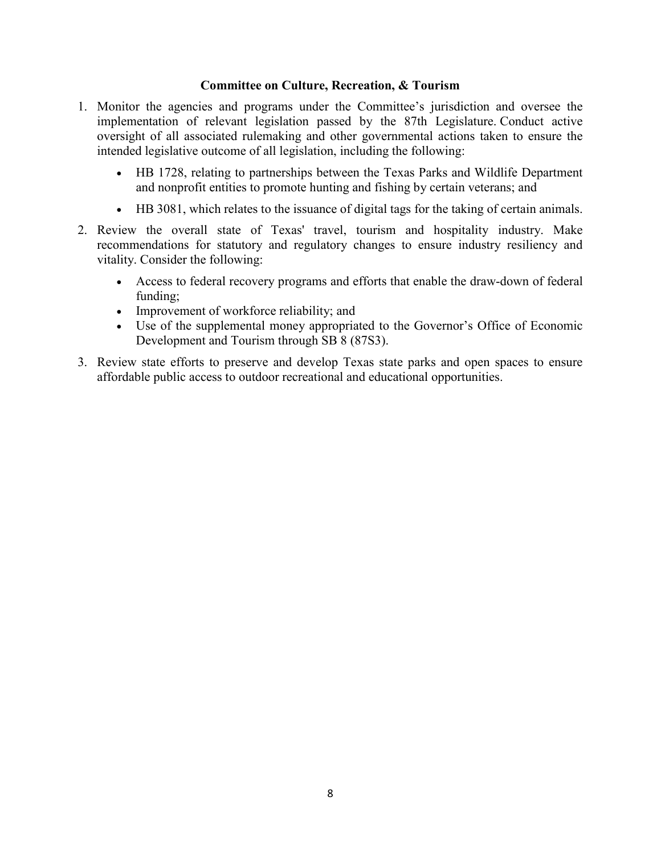#### **Committee on Culture, Recreation, & Tourism**

- 1. Monitor the agencies and programs under the Committee's jurisdiction and oversee the implementation of relevant legislation passed by the 87th Legislature. Conduct active oversight of all associated rulemaking and other governmental actions taken to ensure the intended legislative outcome of all legislation, including the following:
	- HB 1728, relating to partnerships between the Texas Parks and Wildlife Department and nonprofit entities to promote hunting and fishing by certain veterans; and
	- HB 3081, which relates to the issuance of digital tags for the taking of certain animals.
- 2. Review the overall state of Texas' travel, tourism and hospitality industry. Make recommendations for statutory and regulatory changes to ensure industry resiliency and vitality. Consider the following:
	- Access to federal recovery programs and efforts that enable the draw-down of federal funding;
	- Improvement of workforce reliability; and
	- Use of the supplemental money appropriated to the Governor's Office of Economic Development and Tourism through SB 8 (87S3).
- 3. Review state efforts to preserve and develop Texas state parks and open spaces to ensure affordable public access to outdoor recreational and educational opportunities.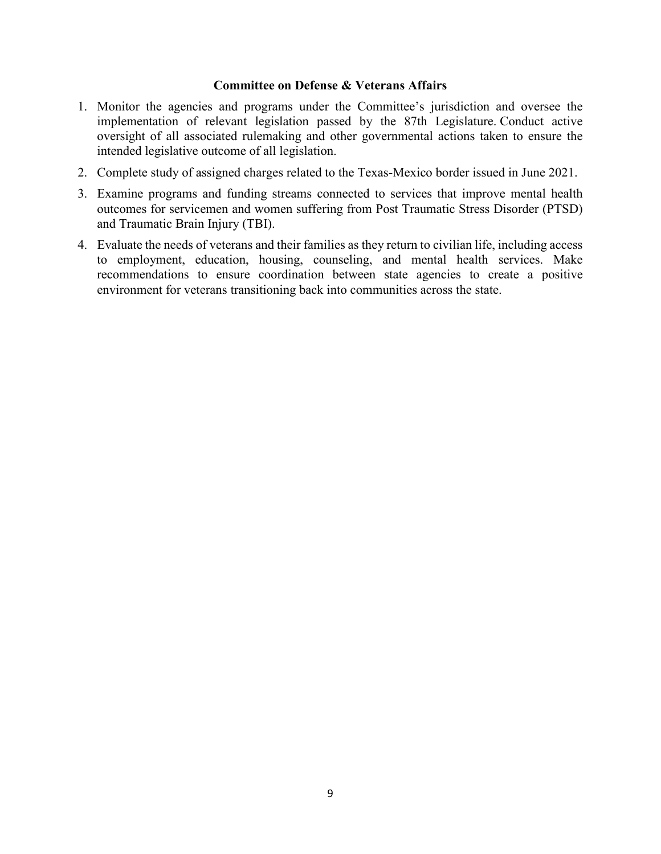#### **Committee on Defense & Veterans Affairs**

- 1. Monitor the agencies and programs under the Committee's jurisdiction and oversee the implementation of relevant legislation passed by the 87th Legislature. Conduct active oversight of all associated rulemaking and other governmental actions taken to ensure the intended legislative outcome of all legislation.
- 2. Complete study of assigned charges related to the Texas-Mexico border issued in June 2021.
- 3. Examine programs and funding streams connected to services that improve mental health outcomes for servicemen and women suffering from Post Traumatic Stress Disorder (PTSD) and Traumatic Brain Injury (TBI).
- 4. Evaluate the needs of veterans and their families as they return to civilian life, including access to employment, education, housing, counseling, and mental health services. Make recommendations to ensure coordination between state agencies to create a positive environment for veterans transitioning back into communities across the state.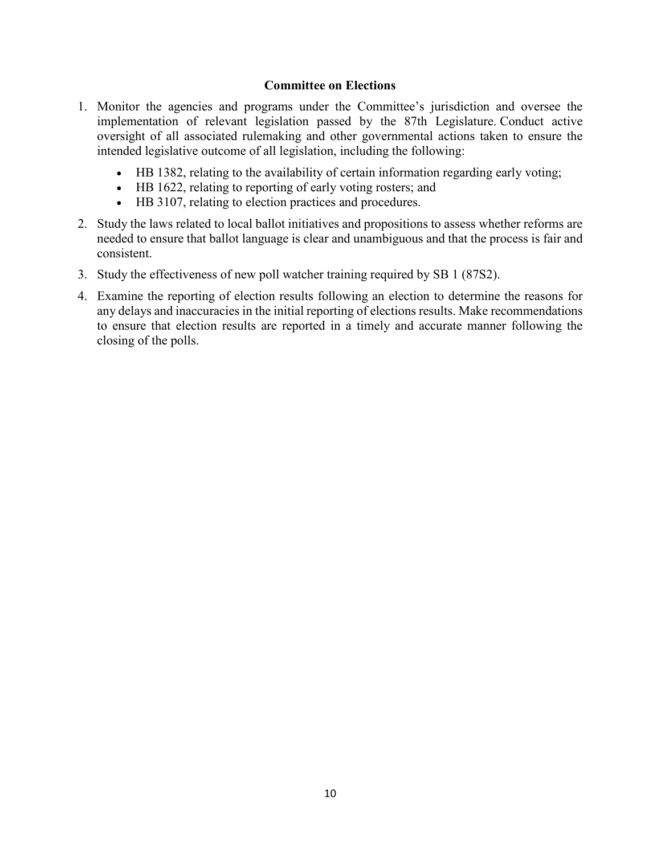#### **Committee on Elections**

- 1. Monitor the agencies and programs under the Committee's jurisdiction and oversee the implementation of relevant legislation passed by the 87th Legislature. Conduct active oversight of all associated rulemaking and other governmental actions taken to ensure the intended legislative outcome of all legislation, including the following:
	- HB 1382, relating to the availability of certain information regarding early voting;
	- $\bullet$  HB 1622, relating to reporting of early voting rosters; and
	- HB 3107, relating to election practices and procedures.
- 2. Study the laws related to local ballot initiatives and propositions to assess whether reforms are needed to ensure that ballot language is clear and unambiguous and that the process is fair and consistent.
- 3. Study the effectiveness of new poll watcher training required by SB 1 (87S2).
- 4. Examine the reporting of election results following an election to determine the reasons for any delays and inaccuracies in the initial reporting of elections results. Make recommendations to ensure that election results are reported in a timely and accurate manner following the closing of the polls.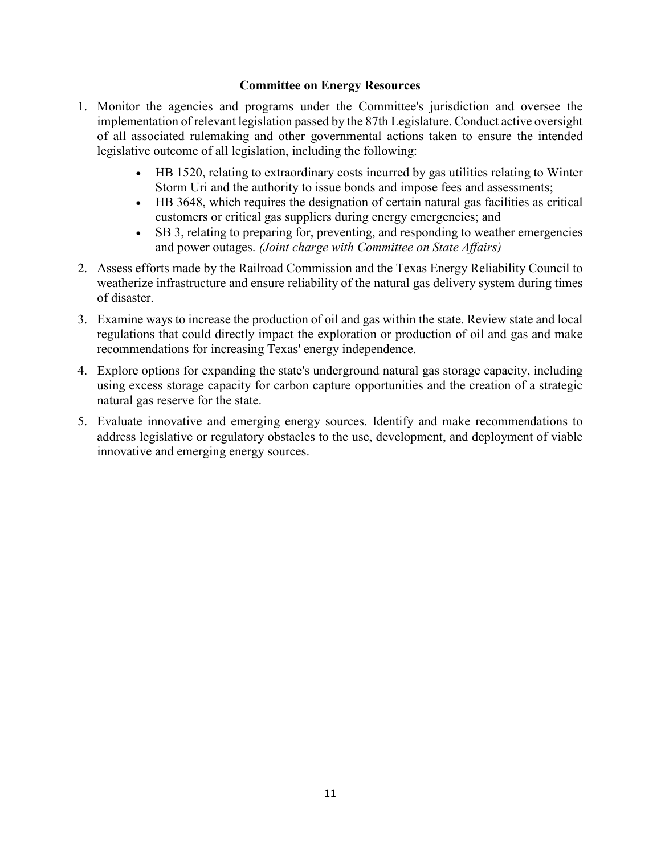#### **Committee on Energy Resources**

- 1. Monitor the agencies and programs under the Committee's jurisdiction and oversee the implementation of relevant legislation passed by the 87th Legislature. Conduct active oversight of all associated rulemaking and other governmental actions taken to ensure the intended legislative outcome of all legislation, including the following:
	- HB 1520, relating to extraordinary costs incurred by gas utilities relating to Winter Storm Uri and the authority to issue bonds and impose fees and assessments;
	- $\bullet$  HB 3648, which requires the designation of certain natural gas facilities as critical customers or critical gas suppliers during energy emergencies; and
	- SB 3, relating to preparing for, preventing, and responding to weather emergencies and power outages. *(Joint charge with Committee on State Affairs)*
- 2. Assess efforts made by the Railroad Commission and the Texas Energy Reliability Council to weatherize infrastructure and ensure reliability of the natural gas delivery system during times of disaster.
- 3. Examine ways to increase the production of oil and gas within the state. Review state and local regulations that could directly impact the exploration or production of oil and gas and make recommendations for increasing Texas' energy independence.
- 4. Explore options for expanding the state's underground natural gas storage capacity, including using excess storage capacity for carbon capture opportunities and the creation of a strategic natural gas reserve for the state.
- 5. Evaluate innovative and emerging energy sources. Identify and make recommendations to address legislative or regulatory obstacles to the use, development, and deployment of viable innovative and emerging energy sources.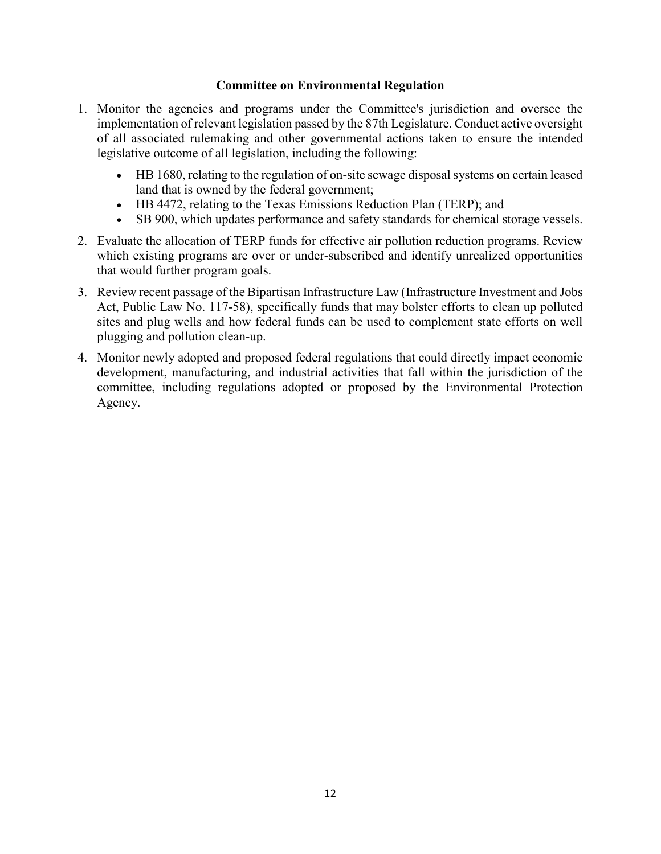#### **Committee on Environmental Regulation**

- 1. Monitor the agencies and programs under the Committee's jurisdiction and oversee the implementation of relevant legislation passed by the 87th Legislature. Conduct active oversight of all associated rulemaking and other governmental actions taken to ensure the intended legislative outcome of all legislation, including the following:
	- x HB 1680, relating to the regulation of on-site sewage disposal systems on certain leased land that is owned by the federal government;
	- HB 4472, relating to the Texas Emissions Reduction Plan (TERP); and
	- SB 900, which updates performance and safety standards for chemical storage vessels.
- 2. Evaluate the allocation of TERP funds for effective air pollution reduction programs. Review which existing programs are over or under-subscribed and identify unrealized opportunities that would further program goals.
- 3. Review recent passage of the Bipartisan Infrastructure Law (Infrastructure Investment and Jobs Act, Public Law No. 117-58), specifically funds that may bolster efforts to clean up polluted sites and plug wells and how federal funds can be used to complement state efforts on well plugging and pollution clean-up.
- 4. Monitor newly adopted and proposed federal regulations that could directly impact economic development, manufacturing, and industrial activities that fall within the jurisdiction of the committee, including regulations adopted or proposed by the Environmental Protection Agency.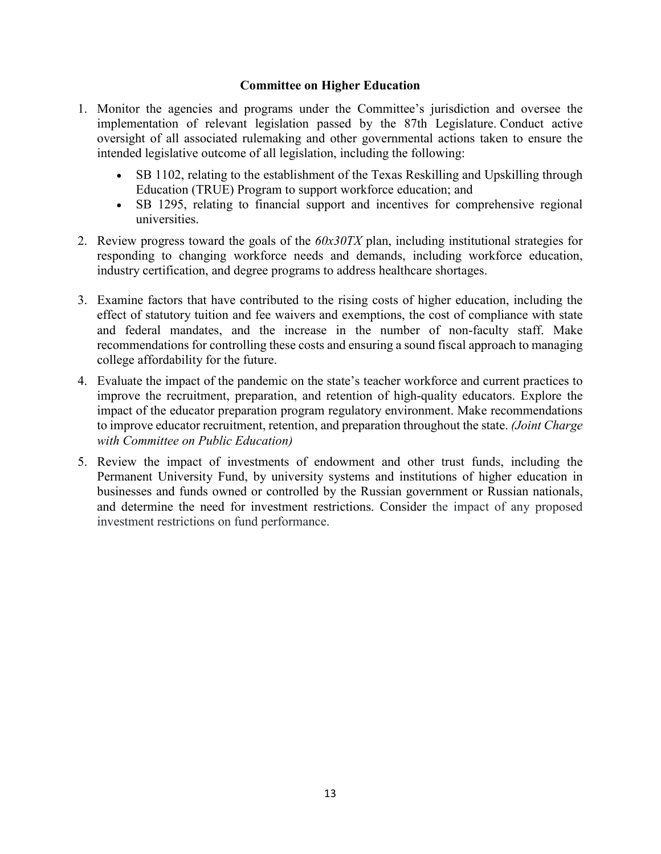#### **Committee on Higher Education**

- 1. Monitor the agencies and programs under the Committee's jurisdiction and oversee the implementation of relevant legislation passed by the 87th Legislature. Conduct active oversight of all associated rulemaking and other governmental actions taken to ensure the intended legislative outcome of all legislation, including the following:
	- SB 1102, relating to the establishment of the Texas Reskilling and Upskilling through Education (TRUE) Program to support workforce education; and
	- SB 1295, relating to financial support and incentives for comprehensive regional universities.
- 2. Review progress toward the goals of the *60x30TX* plan, including institutional strategies for responding to changing workforce needs and demands, including workforce education, industry certification, and degree programs to address healthcare shortages.
- 3. Examine factors that have contributed to the rising costs of higher education, including the effect of statutory tuition and fee waivers and exemptions, the cost of compliance with state and federal mandates, and the increase in the number of non-faculty staff. Make recommendations for controlling these costs and ensuring a sound fiscal approach to managing college affordability for the future.
- 4. Evaluate the impact of the pandemic on the state's teacher workforce and current practices to improve the recruitment, preparation, and retention of high-quality educators. Explore the impact of the educator preparation program regulatory environment. Make recommendations to improve educator recruitment, retention, and preparation throughout the state. *(Joint Charge with Committee on Public Education)*
- 5. Review the impact of investments of endowment and other trust funds, including the Permanent University Fund, by university systems and institutions of higher education in businesses and funds owned or controlled by the Russian government or Russian nationals, and determine the need for investment restrictions. Consider the impact of any proposed investment restrictions on fund performance.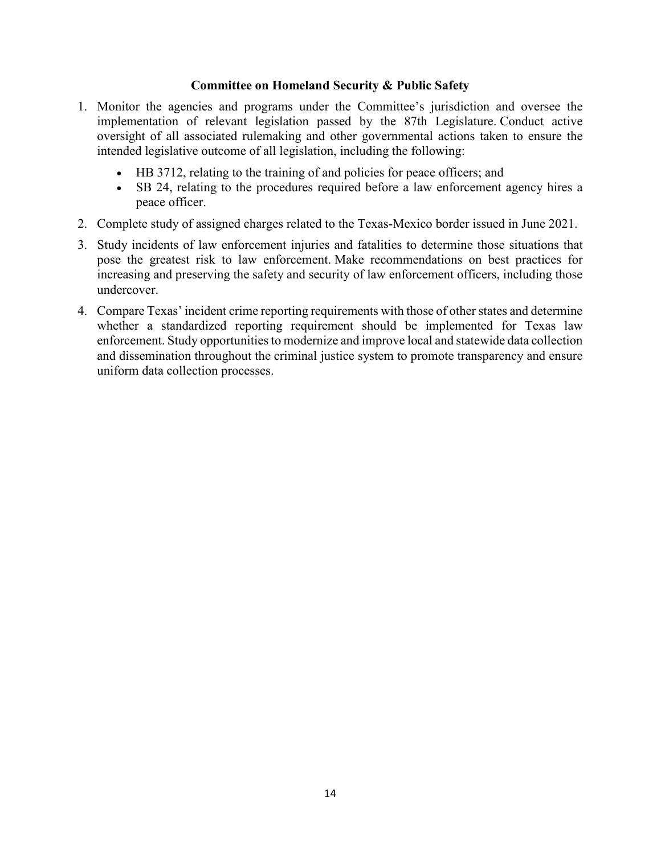#### **Committee on Homeland Security & Public Safety**

- 1. Monitor the agencies and programs under the Committee's jurisdiction and oversee the implementation of relevant legislation passed by the 87th Legislature. Conduct active oversight of all associated rulemaking and other governmental actions taken to ensure the intended legislative outcome of all legislation, including the following:
	- HB 3712, relating to the training of and policies for peace officers; and
	- SB 24, relating to the procedures required before a law enforcement agency hires a peace officer.
- 2. Complete study of assigned charges related to the Texas-Mexico border issued in June 2021.
- 3. Study incidents of law enforcement injuries and fatalities to determine those situations that pose the greatest risk to law enforcement. Make recommendations on best practices for increasing and preserving the safety and security of law enforcement officers, including those undercover.
- 4. Compare Texas' incident crime reporting requirements with those of other states and determine whether a standardized reporting requirement should be implemented for Texas law enforcement. Study opportunities to modernize and improve local and statewide data collection and dissemination throughout the criminal justice system to promote transparency and ensure uniform data collection processes.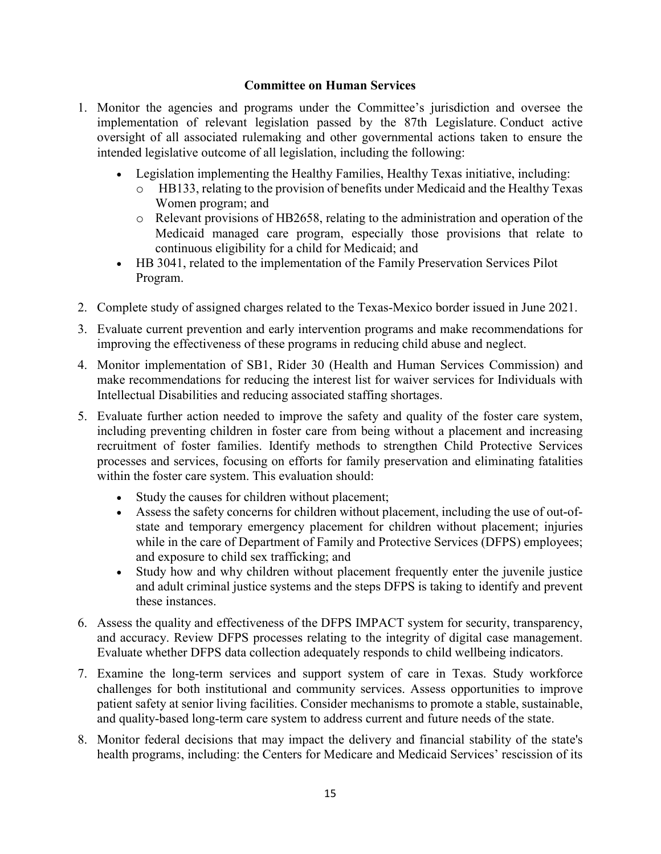#### **Committee on Human Services**

- 1. Monitor the agencies and programs under the Committee's jurisdiction and oversee the implementation of relevant legislation passed by the 87th Legislature. Conduct active oversight of all associated rulemaking and other governmental actions taken to ensure the intended legislative outcome of all legislation, including the following:
	- Legislation implementing the Healthy Families, Healthy Texas initiative, including:
		- o HB133, relating to the provision of benefits under Medicaid and the Healthy Texas Women program; and
		- o Relevant provisions of HB2658, relating to the administration and operation of the Medicaid managed care program, especially those provisions that relate to continuous eligibility for a child for Medicaid; and
	- HB 3041, related to the implementation of the Family Preservation Services Pilot Program.
- 2. Complete study of assigned charges related to the Texas-Mexico border issued in June 2021.
- 3. Evaluate current prevention and early intervention programs and make recommendations for improving the effectiveness of these programs in reducing child abuse and neglect.
- 4. Monitor implementation of SB1, Rider 30 (Health and Human Services Commission) and make recommendations for reducing the interest list for waiver services for Individuals with Intellectual Disabilities and reducing associated staffing shortages.
- 5. Evaluate further action needed to improve the safety and quality of the foster care system, including preventing children in foster care from being without a placement and increasing recruitment of foster families. Identify methods to strengthen Child Protective Services processes and services, focusing on efforts for family preservation and eliminating fatalities within the foster care system. This evaluation should:
	- Study the causes for children without placement;
	- Assess the safety concerns for children without placement, including the use of out-ofstate and temporary emergency placement for children without placement; injuries while in the care of Department of Family and Protective Services (DFPS) employees; and exposure to child sex trafficking; and
	- Study how and why children without placement frequently enter the juvenile justice and adult criminal justice systems and the steps DFPS is taking to identify and prevent these instances.
- 6. Assess the quality and effectiveness of the DFPS IMPACT system for security, transparency, and accuracy. Review DFPS processes relating to the integrity of digital case management. Evaluate whether DFPS data collection adequately responds to child wellbeing indicators.
- 7. Examine the long-term services and support system of care in Texas. Study workforce challenges for both institutional and community services. Assess opportunities to improve patient safety at senior living facilities. Consider mechanisms to promote a stable, sustainable, and quality-based long-term care system to address current and future needs of the state.
- 8. Monitor federal decisions that may impact the delivery and financial stability of the state's health programs, including: the Centers for Medicare and Medicaid Services' rescission of its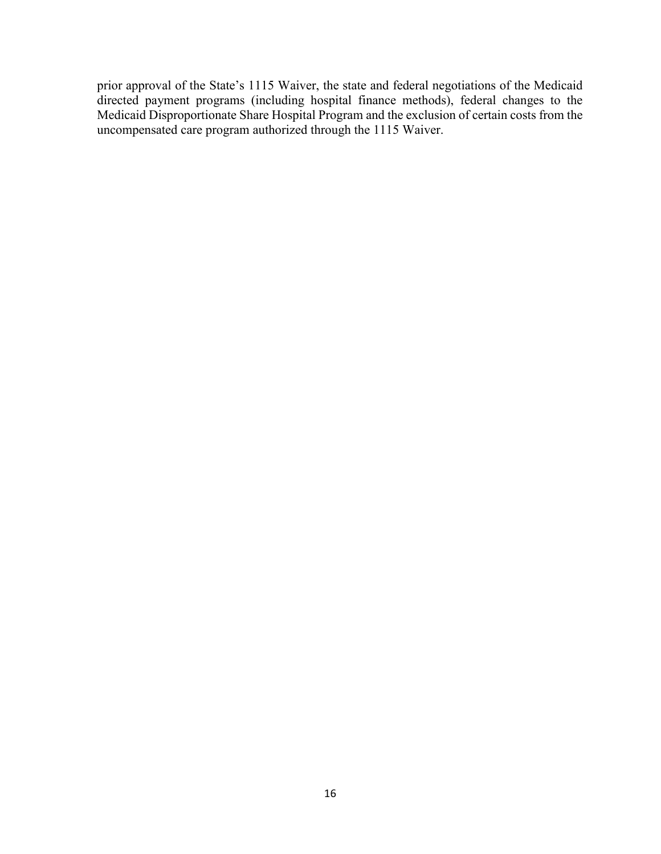prior approval of the State's 1115 Waiver, the state and federal negotiations of the Medicaid directed payment programs (including hospital finance methods), federal changes to the Medicaid Disproportionate Share Hospital Program and the exclusion of certain costs from the uncompensated care program authorized through the 1115 Waiver.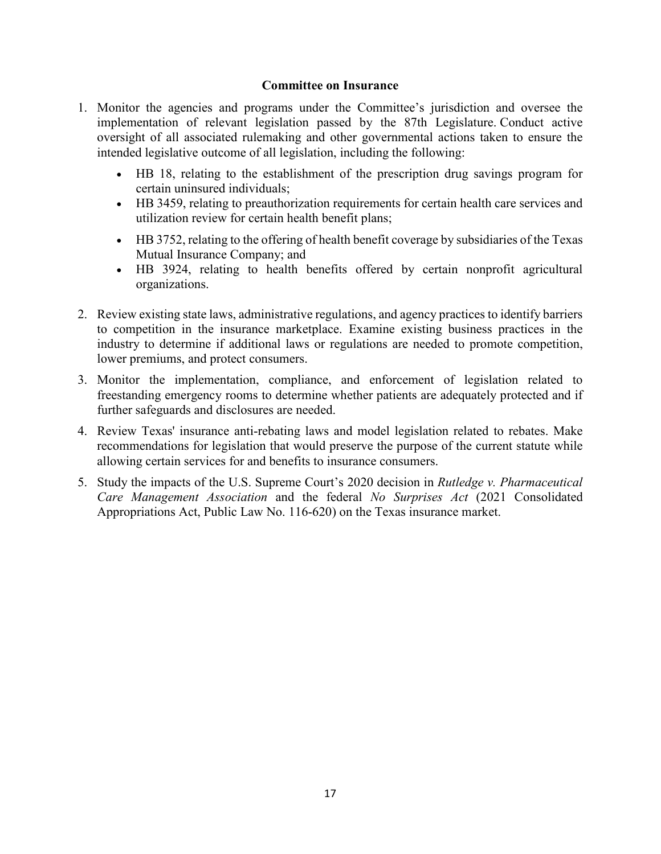#### **Committee on Insurance**

- 1. Monitor the agencies and programs under the Committee's jurisdiction and oversee the implementation of relevant legislation passed by the 87th Legislature. Conduct active oversight of all associated rulemaking and other governmental actions taken to ensure the intended legislative outcome of all legislation, including the following:
	- x HB 18, relating to the establishment of the prescription drug savings program for certain uninsured individuals;
	- HB 3459, relating to preauthorization requirements for certain health care services and utilization review for certain health benefit plans;
	- x HB 3752, relating to the offering of health benefit coverage by subsidiaries of the Texas Mutual Insurance Company; and
	- HB 3924, relating to health benefits offered by certain nonprofit agricultural organizations.
- 2. Review existing state laws, administrative regulations, and agency practices to identify barriers to competition in the insurance marketplace. Examine existing business practices in the industry to determine if additional laws or regulations are needed to promote competition, lower premiums, and protect consumers.
- 3. Monitor the implementation, compliance, and enforcement of legislation related to freestanding emergency rooms to determine whether patients are adequately protected and if further safeguards and disclosures are needed.
- 4. Review Texas' insurance anti-rebating laws and model legislation related to rebates. Make recommendations for legislation that would preserve the purpose of the current statute while allowing certain services for and benefits to insurance consumers.
- 5. Study the impacts of the U.S. Supreme Court's 2020 decision in *Rutledge v. Pharmaceutical Care Management Association* and the federal *No Surprises Act* (2021 Consolidated Appropriations Act, Public Law No. 116-620) on the Texas insurance market.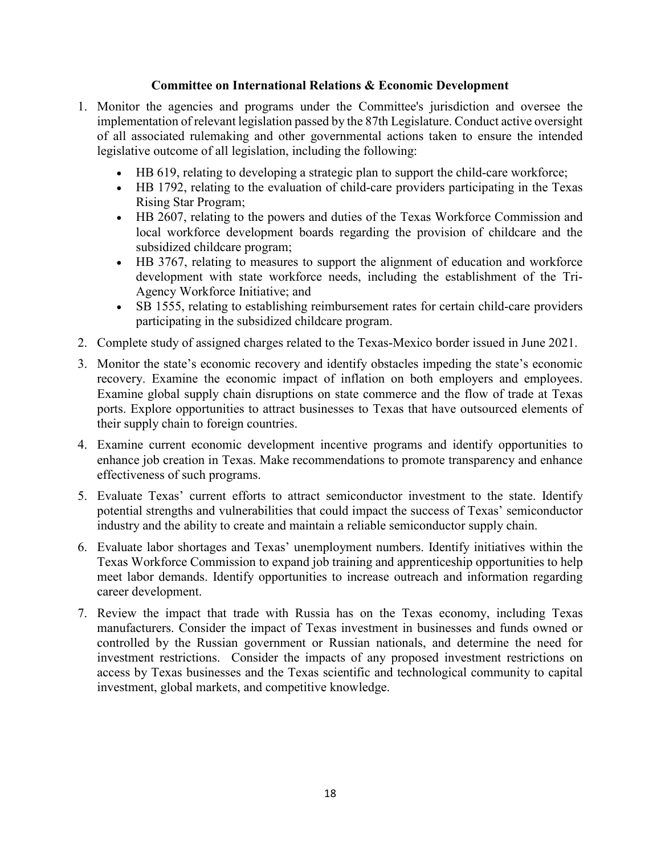#### **Committee on International Relations & Economic Development**

- 1. Monitor the agencies and programs under the Committee's jurisdiction and oversee the implementation of relevant legislation passed by the 87th Legislature. Conduct active oversight of all associated rulemaking and other governmental actions taken to ensure the intended legislative outcome of all legislation, including the following:
	- HB 619, relating to developing a strategic plan to support the child-care workforce;
	- HB 1792, relating to the evaluation of child-care providers participating in the Texas Rising Star Program;
	- HB 2607, relating to the powers and duties of the Texas Workforce Commission and local workforce development boards regarding the provision of childcare and the subsidized childcare program;
	- HB 3767, relating to measures to support the alignment of education and workforce development with state workforce needs, including the establishment of the Tri-Agency Workforce Initiative; and
	- SB 1555, relating to establishing reimbursement rates for certain child-care providers participating in the subsidized childcare program.
- 2. Complete study of assigned charges related to the Texas-Mexico border issued in June 2021.
- 3. Monitor the state's economic recovery and identify obstacles impeding the state's economic recovery. Examine the economic impact of inflation on both employers and employees. Examine global supply chain disruptions on state commerce and the flow of trade at Texas ports. Explore opportunities to attract businesses to Texas that have outsourced elements of their supply chain to foreign countries.
- 4. Examine current economic development incentive programs and identify opportunities to enhance job creation in Texas. Make recommendations to promote transparency and enhance effectiveness of such programs.
- 5. Evaluate Texas' current efforts to attract semiconductor investment to the state. Identify potential strengths and vulnerabilities that could impact the success of Texas' semiconductor industry and the ability to create and maintain a reliable semiconductor supply chain.
- 6. Evaluate labor shortages and Texas' unemployment numbers. Identify initiatives within the Texas Workforce Commission to expand job training and apprenticeship opportunities to help meet labor demands. Identify opportunities to increase outreach and information regarding career development.
- 7. Review the impact that trade with Russia has on the Texas economy, including Texas manufacturers. Consider the impact of Texas investment in businesses and funds owned or controlled by the Russian government or Russian nationals, and determine the need for investment restrictions. Consider the impacts of any proposed investment restrictions on access by Texas businesses and the Texas scientific and technological community to capital investment, global markets, and competitive knowledge.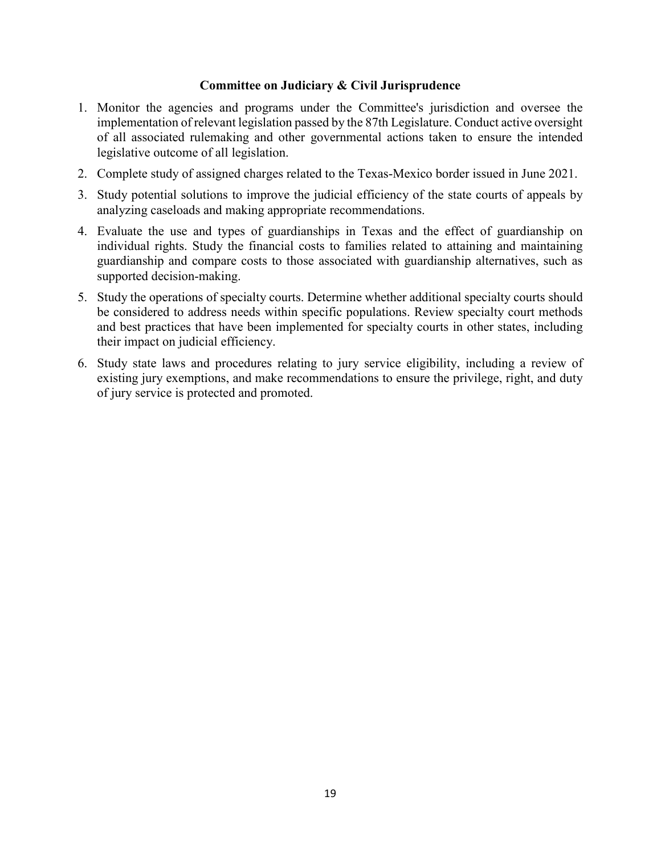#### **Committee on Judiciary & Civil Jurisprudence**

- 1. Monitor the agencies and programs under the Committee's jurisdiction and oversee the implementation of relevant legislation passed by the 87th Legislature. Conduct active oversight of all associated rulemaking and other governmental actions taken to ensure the intended legislative outcome of all legislation.
- 2. Complete study of assigned charges related to the Texas-Mexico border issued in June 2021.
- 3. Study potential solutions to improve the judicial efficiency of the state courts of appeals by analyzing caseloads and making appropriate recommendations.
- 4. Evaluate the use and types of guardianships in Texas and the effect of guardianship on individual rights. Study the financial costs to families related to attaining and maintaining guardianship and compare costs to those associated with guardianship alternatives, such as supported decision-making.
- 5. Study the operations of specialty courts. Determine whether additional specialty courts should be considered to address needs within specific populations. Review specialty court methods and best practices that have been implemented for specialty courts in other states, including their impact on judicial efficiency.
- 6. Study state laws and procedures relating to jury service eligibility, including a review of existing jury exemptions, and make recommendations to ensure the privilege, right, and duty of jury service is protected and promoted.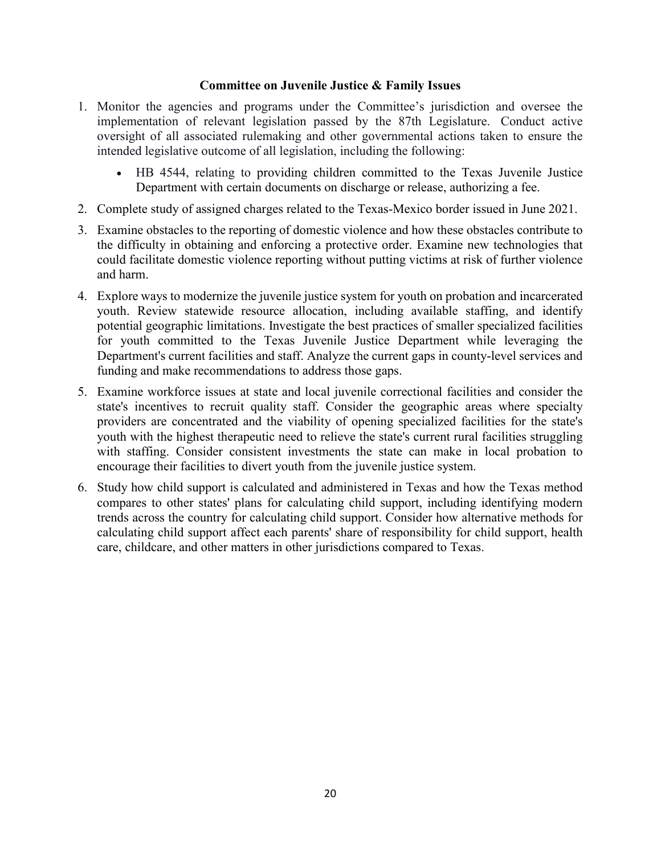#### **Committee on Juvenile Justice & Family Issues**

- 1. Monitor the agencies and programs under the Committee's jurisdiction and oversee the implementation of relevant legislation passed by the 87th Legislature. Conduct active oversight of all associated rulemaking and other governmental actions taken to ensure the intended legislative outcome of all legislation, including the following:
	- HB 4544, relating to providing children committed to the Texas Juvenile Justice Department with certain documents on discharge or release, authorizing a fee.
- 2. Complete study of assigned charges related to the Texas-Mexico border issued in June 2021.
- 3. Examine obstacles to the reporting of domestic violence and how these obstacles contribute to the difficulty in obtaining and enforcing a protective order. Examine new technologies that could facilitate domestic violence reporting without putting victims at risk of further violence and harm.
- 4. Explore ways to modernize the juvenile justice system for youth on probation and incarcerated youth. Review statewide resource allocation, including available staffing, and identify potential geographic limitations. Investigate the best practices of smaller specialized facilities for youth committed to the Texas Juvenile Justice Department while leveraging the Department's current facilities and staff. Analyze the current gaps in county-level services and funding and make recommendations to address those gaps.
- 5. Examine workforce issues at state and local juvenile correctional facilities and consider the state's incentives to recruit quality staff. Consider the geographic areas where specialty providers are concentrated and the viability of opening specialized facilities for the state's youth with the highest therapeutic need to relieve the state's current rural facilities struggling with staffing. Consider consistent investments the state can make in local probation to encourage their facilities to divert youth from the juvenile justice system.
- 6. Study how child support is calculated and administered in Texas and how the Texas method compares to other states' plans for calculating child support, including identifying modern trends across the country for calculating child support. Consider how alternative methods for calculating child support affect each parents' share of responsibility for child support, health care, childcare, and other matters in other jurisdictions compared to Texas.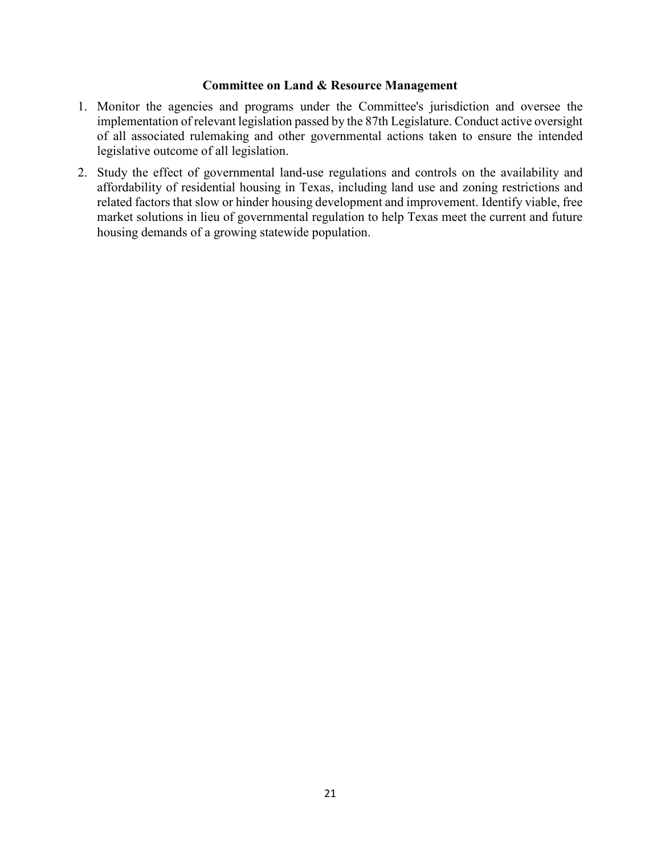#### **Committee on Land & Resource Management**

- 1. Monitor the agencies and programs under the Committee's jurisdiction and oversee the implementation of relevant legislation passed by the 87th Legislature. Conduct active oversight of all associated rulemaking and other governmental actions taken to ensure the intended legislative outcome of all legislation.
- 2. Study the effect of governmental land-use regulations and controls on the availability and affordability of residential housing in Texas, including land use and zoning restrictions and related factors that slow or hinder housing development and improvement. Identify viable, free market solutions in lieu of governmental regulation to help Texas meet the current and future housing demands of a growing statewide population.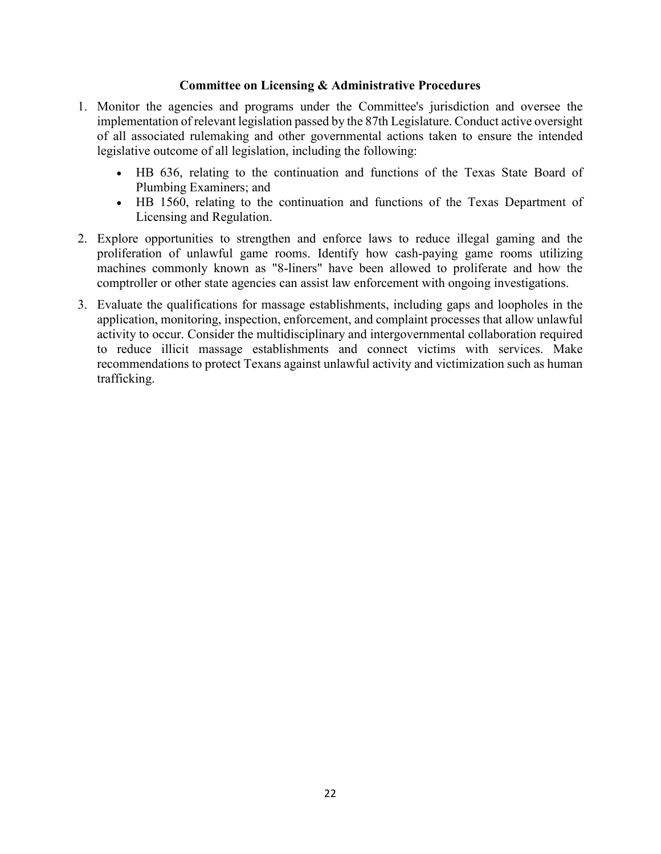#### **Committee on Licensing & Administrative Procedures**

- 1. Monitor the agencies and programs under the Committee's jurisdiction and oversee the implementation of relevant legislation passed by the 87th Legislature. Conduct active oversight of all associated rulemaking and other governmental actions taken to ensure the intended legislative outcome of all legislation, including the following:
	- HB 636, relating to the continuation and functions of the Texas State Board of Plumbing Examiners; and
	- HB 1560, relating to the continuation and functions of the Texas Department of Licensing and Regulation.
- 2. Explore opportunities to strengthen and enforce laws to reduce illegal gaming and the proliferation of unlawful game rooms. Identify how cash-paying game rooms utilizing machines commonly known as "8-liners" have been allowed to proliferate and how the comptroller or other state agencies can assist law enforcement with ongoing investigations.
- 3. Evaluate the qualifications for massage establishments, including gaps and loopholes in the application, monitoring, inspection, enforcement, and complaint processes that allow unlawful activity to occur. Consider the multidisciplinary and intergovernmental collaboration required to reduce illicit massage establishments and connect victims with services. Make recommendations to protect Texans against unlawful activity and victimization such as human trafficking.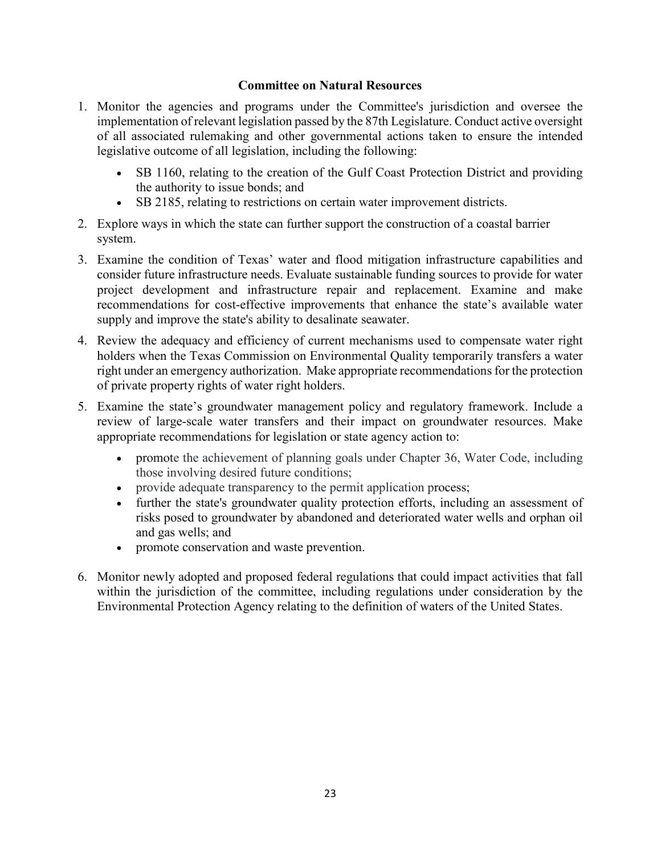#### **Committee on Natural Resources**

- 1. Monitor the agencies and programs under the Committee's jurisdiction and oversee the implementation of relevant legislation passed by the 87th Legislature. Conduct active oversight of all associated rulemaking and other governmental actions taken to ensure the intended legislative outcome of all legislation, including the following:
	- SB 1160, relating to the creation of the Gulf Coast Protection District and providing the authority to issue bonds; and
	- SB 2185, relating to restrictions on certain water improvement districts.
- 2. Explore ways in which the state can further support the construction of a coastal barrier system.
- 3. Examine the condition of Texas' water and flood mitigation infrastructure capabilities and consider future infrastructure needs. Evaluate sustainable funding sources to provide for water project development and infrastructure repair and replacement. Examine and make recommendations for cost-effective improvements that enhance the state's available water supply and improve the state's ability to desalinate seawater.
- 4. Review the adequacy and efficiency of current mechanisms used to compensate water right holders when the Texas Commission on Environmental Quality temporarily transfers a water right under an emergency authorization. Make appropriate recommendations for the protection of private property rights of water right holders.
- 5. Examine the state's groundwater management policy and regulatory framework. Include a review of large-scale water transfers and their impact on groundwater resources. Make appropriate recommendations for legislation or state agency action to:
	- promote the achievement of planning goals under Chapter 36, Water Code, including those involving desired future conditions;
	- provide adequate transparency to the permit application process;
	- further the state's groundwater quality protection efforts, including an assessment of risks posed to groundwater by abandoned and deteriorated water wells and orphan oil and gas wells; and
	- promote conservation and waste prevention.
- 6. Monitor newly adopted and proposed federal regulations that could impact activities that fall within the jurisdiction of the committee, including regulations under consideration by the Environmental Protection Agency relating to the definition of waters of the United States.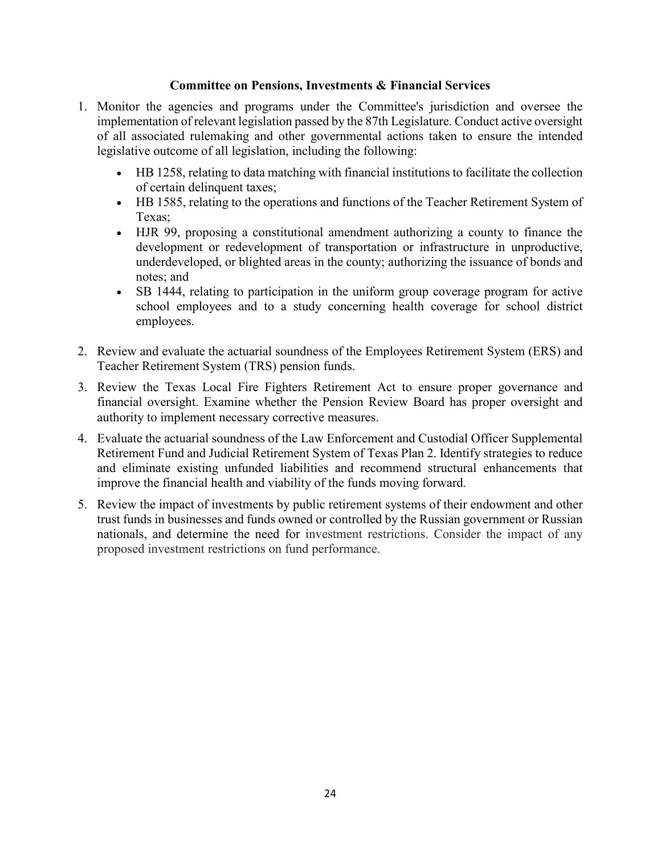#### **Committee on Pensions, Investments & Financial Services**

- 1. Monitor the agencies and programs under the Committee's jurisdiction and oversee the implementation of relevant legislation passed by the 87th Legislature. Conduct active oversight of all associated rulemaking and other governmental actions taken to ensure the intended legislative outcome of all legislation, including the following:
	- HB 1258, relating to data matching with financial institutions to facilitate the collection of certain delinquent taxes;
	- HB 1585, relating to the operations and functions of the Teacher Retirement System of Texas;
	- x HJR 99, proposing a constitutional amendment authorizing a county to finance the development or redevelopment of transportation or infrastructure in unproductive, underdeveloped, or blighted areas in the county; authorizing the issuance of bonds and notes; and
	- SB 1444, relating to participation in the uniform group coverage program for active school employees and to a study concerning health coverage for school district employees.
- 2. Review and evaluate the actuarial soundness of the Employees Retirement System (ERS) and Teacher Retirement System (TRS) pension funds.
- 3. Review the Texas Local Fire Fighters Retirement Act to ensure proper governance and financial oversight. Examine whether the Pension Review Board has proper oversight and authority to implement necessary corrective measures.
- 4. Evaluate the actuarial soundness of the Law Enforcement and Custodial Officer Supplemental Retirement Fund and Judicial Retirement System of Texas Plan 2. Identify strategies to reduce and eliminate existing unfunded liabilities and recommend structural enhancements that improve the financial health and viability of the funds moving forward.
- 5. Review the impact of investments by public retirement systems of their endowment and other trust funds in businesses and funds owned or controlled by the Russian government or Russian nationals, and determine the need for investment restrictions. Consider the impact of any proposed investment restrictions on fund performance.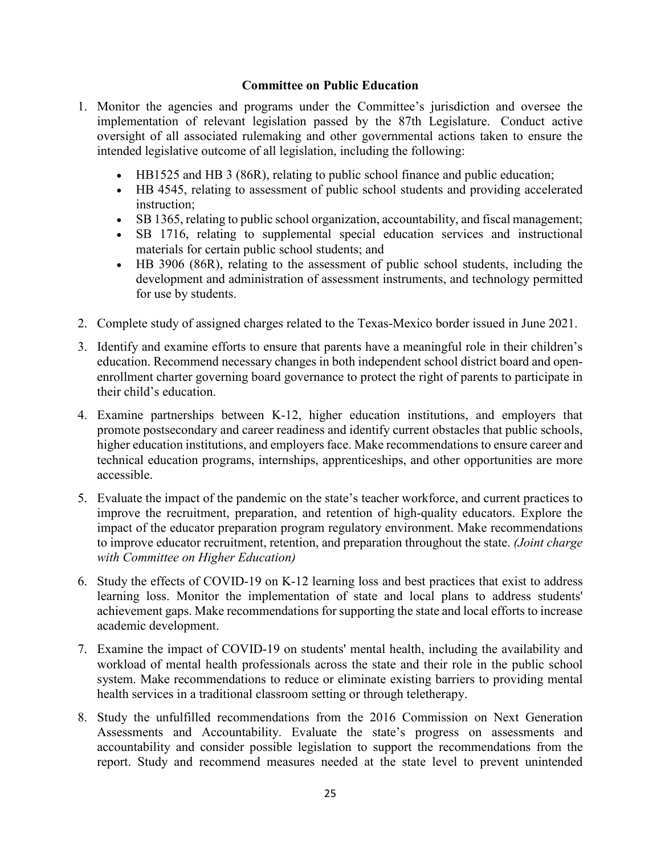#### **Committee on Public Education**

- 1. Monitor the agencies and programs under the Committee's jurisdiction and oversee the implementation of relevant legislation passed by the 87th Legislature. Conduct active oversight of all associated rulemaking and other governmental actions taken to ensure the intended legislative outcome of all legislation, including the following:
	- HB1525 and HB 3 (86R), relating to public school finance and public education;
	- HB 4545, relating to assessment of public school students and providing accelerated instruction;
	- SB 1365, relating to public school organization, accountability, and fiscal management;
	- SB 1716, relating to supplemental special education services and instructional materials for certain public school students; and
	- HB 3906 (86R), relating to the assessment of public school students, including the development and administration of assessment instruments, and technology permitted for use by students.
- 2. Complete study of assigned charges related to the Texas-Mexico border issued in June 2021.
- 3. Identify and examine efforts to ensure that parents have a meaningful role in their children's education. Recommend necessary changes in both independent school district board and openenrollment charter governing board governance to protect the right of parents to participate in their child's education.
- 4. Examine partnerships between K-12, higher education institutions, and employers that promote postsecondary and career readiness and identify current obstacles that public schools, higher education institutions, and employers face. Make recommendations to ensure career and technical education programs, internships, apprenticeships, and other opportunities are more accessible.
- 5. Evaluate the impact of the pandemic on the state's teacher workforce, and current practices to improve the recruitment, preparation, and retention of high-quality educators. Explore the impact of the educator preparation program regulatory environment. Make recommendations to improve educator recruitment, retention, and preparation throughout the state. *(Joint charge with Committee on Higher Education)*
- 6. Study the effects of COVID-19 on K-12 learning loss and best practices that exist to address learning loss. Monitor the implementation of state and local plans to address students' achievement gaps. Make recommendations for supporting the state and local efforts to increase academic development.
- 7. Examine the impact of COVID-19 on students' mental health, including the availability and workload of mental health professionals across the state and their role in the public school system. Make recommendations to reduce or eliminate existing barriers to providing mental health services in a traditional classroom setting or through teletherapy.
- 8. Study the unfulfilled recommendations from the 2016 Commission on Next Generation Assessments and Accountability. Evaluate the state's progress on assessments and accountability and consider possible legislation to support the recommendations from the report. Study and recommend measures needed at the state level to prevent unintended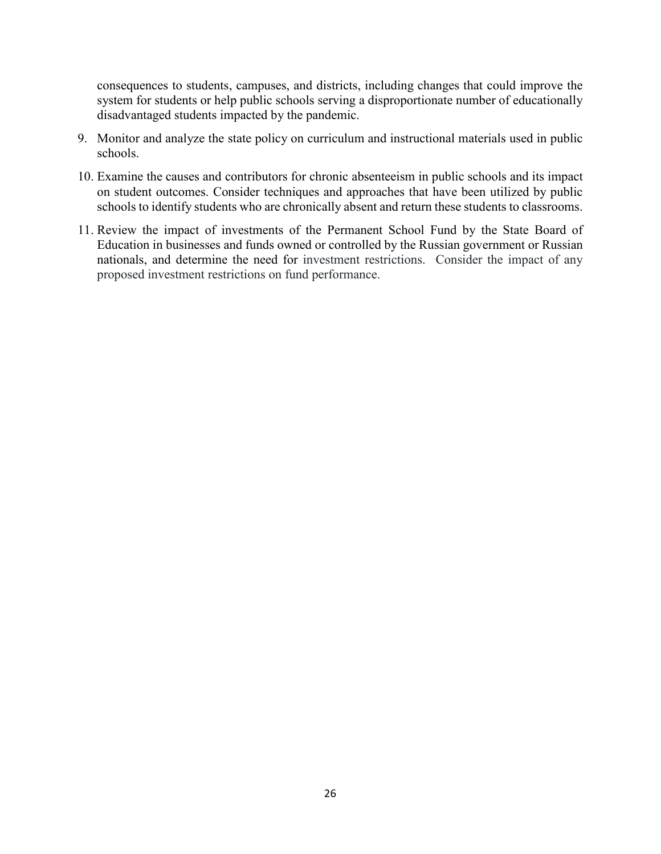consequences to students, campuses, and districts, including changes that could improve the system for students or help public schools serving a disproportionate number of educationally disadvantaged students impacted by the pandemic.

- 9. Monitor and analyze the state policy on curriculum and instructional materials used in public schools.
- 10. Examine the causes and contributors for chronic absenteeism in public schools and its impact on student outcomes. Consider techniques and approaches that have been utilized by public schools to identify students who are chronically absent and return these students to classrooms.
- 11. Review the impact of investments of the Permanent School Fund by the State Board of Education in businesses and funds owned or controlled by the Russian government or Russian nationals, and determine the need for investment restrictions. Consider the impact of any proposed investment restrictions on fund performance.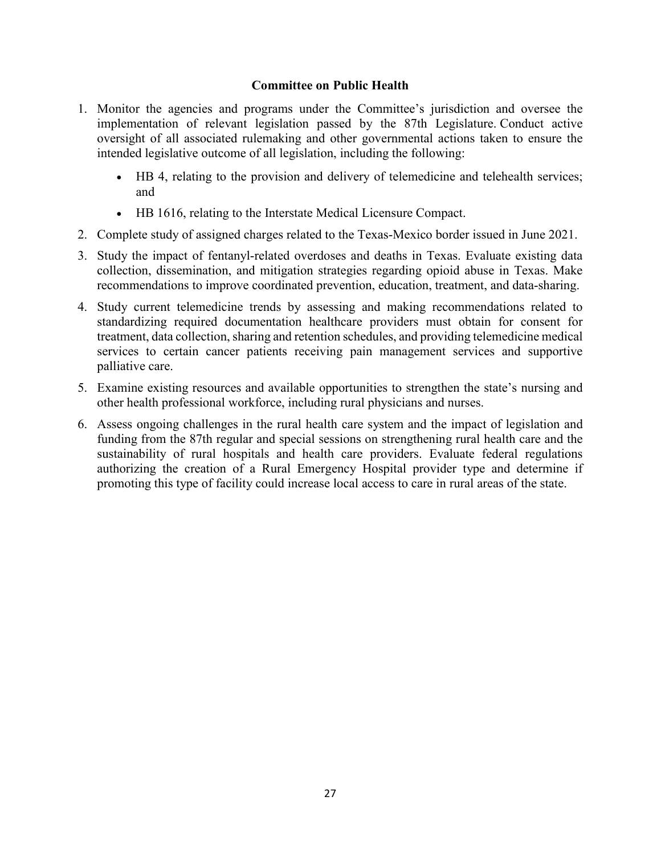#### **Committee on Public Health**

- 1. Monitor the agencies and programs under the Committee's jurisdiction and oversee the implementation of relevant legislation passed by the 87th Legislature. Conduct active oversight of all associated rulemaking and other governmental actions taken to ensure the intended legislative outcome of all legislation, including the following:
	- x HB 4, relating to the provision and delivery of telemedicine and telehealth services; and
	- HB 1616, relating to the Interstate Medical Licensure Compact.
- 2. Complete study of assigned charges related to the Texas-Mexico border issued in June 2021.
- 3. Study the impact of fentanyl-related overdoses and deaths in Texas. Evaluate existing data collection, dissemination, and mitigation strategies regarding opioid abuse in Texas. Make recommendations to improve coordinated prevention, education, treatment, and data-sharing.
- 4. Study current telemedicine trends by assessing and making recommendations related to standardizing required documentation healthcare providers must obtain for consent for treatment, data collection, sharing and retention schedules, and providing telemedicine medical services to certain cancer patients receiving pain management services and supportive palliative care.
- 5. Examine existing resources and available opportunities to strengthen the state's nursing and other health professional workforce, including rural physicians and nurses.
- 6. Assess ongoing challenges in the rural health care system and the impact of legislation and funding from the 87th regular and special sessions on strengthening rural health care and the sustainability of rural hospitals and health care providers. Evaluate federal regulations authorizing the creation of a Rural Emergency Hospital provider type and determine if promoting this type of facility could increase local access to care in rural areas of the state.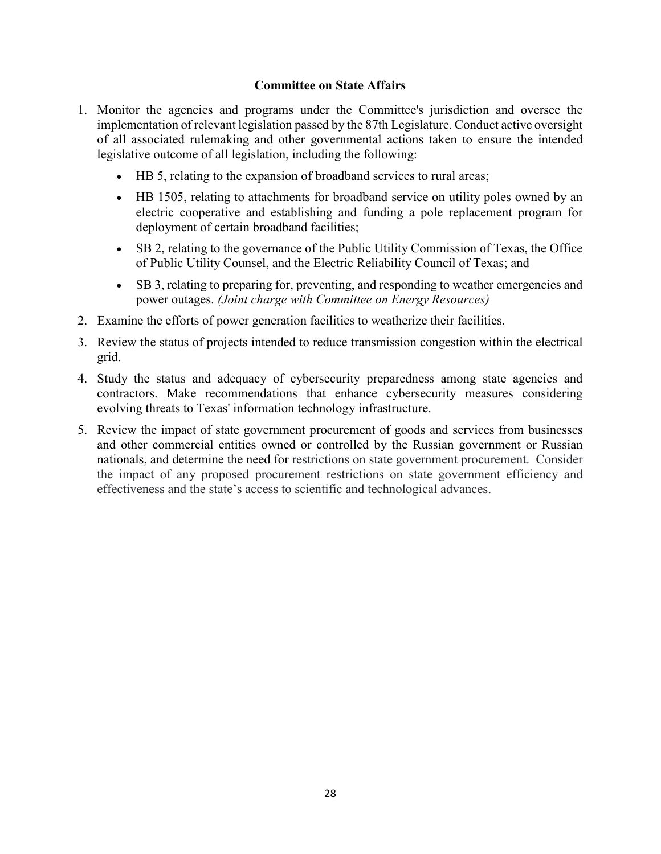#### **Committee on State Affairs**

- 1. Monitor the agencies and programs under the Committee's jurisdiction and oversee the implementation of relevant legislation passed by the 87th Legislature. Conduct active oversight of all associated rulemaking and other governmental actions taken to ensure the intended legislative outcome of all legislation, including the following:
	- HB 5, relating to the expansion of broadband services to rural areas;
	- HB 1505, relating to attachments for broadband service on utility poles owned by an electric cooperative and establishing and funding a pole replacement program for deployment of certain broadband facilities;
	- SB 2, relating to the governance of the Public Utility Commission of Texas, the Office of Public Utility Counsel, and the Electric Reliability Council of Texas; and
	- SB 3, relating to preparing for, preventing, and responding to weather emergencies and power outages. *(Joint charge with Committee on Energy Resources)*
- 2. Examine the efforts of power generation facilities to weatherize their facilities.
- 3. Review the status of projects intended to reduce transmission congestion within the electrical grid.
- 4. Study the status and adequacy of cybersecurity preparedness among state agencies and contractors. Make recommendations that enhance cybersecurity measures considering evolving threats to Texas' information technology infrastructure.
- 5. Review the impact of state government procurement of goods and services from businesses and other commercial entities owned or controlled by the Russian government or Russian nationals, and determine the need for restrictions on state government procurement. Consider the impact of any proposed procurement restrictions on state government efficiency and effectiveness and the state's access to scientific and technological advances.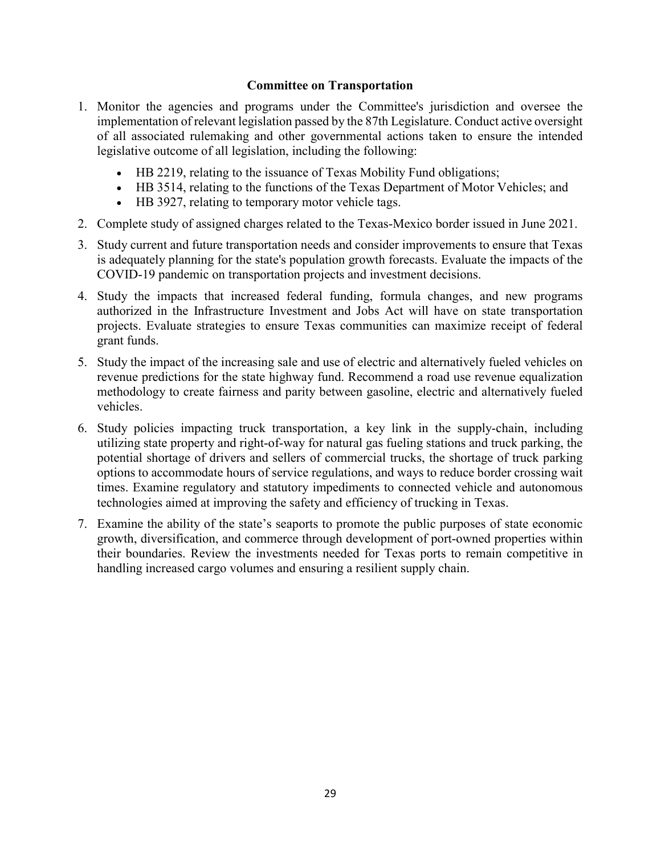#### **Committee on Transportation**

- 1. Monitor the agencies and programs under the Committee's jurisdiction and oversee the implementation of relevant legislation passed by the 87th Legislature. Conduct active oversight of all associated rulemaking and other governmental actions taken to ensure the intended legislative outcome of all legislation, including the following:
	- HB 2219, relating to the issuance of Texas Mobility Fund obligations;
	- HB 3514, relating to the functions of the Texas Department of Motor Vehicles; and
	- HB 3927, relating to temporary motor vehicle tags.
- 2. Complete study of assigned charges related to the Texas-Mexico border issued in June 2021.
- 3. Study current and future transportation needs and consider improvements to ensure that Texas is adequately planning for the state's population growth forecasts. Evaluate the impacts of the COVID-19 pandemic on transportation projects and investment decisions.
- 4. Study the impacts that increased federal funding, formula changes, and new programs authorized in the Infrastructure Investment and Jobs Act will have on state transportation projects. Evaluate strategies to ensure Texas communities can maximize receipt of federal grant funds.
- 5. Study the impact of the increasing sale and use of electric and alternatively fueled vehicles on revenue predictions for the state highway fund. Recommend a road use revenue equalization methodology to create fairness and parity between gasoline, electric and alternatively fueled vehicles.
- 6. Study policies impacting truck transportation, a key link in the supply-chain, including utilizing state property and right-of-way for natural gas fueling stations and truck parking, the potential shortage of drivers and sellers of commercial trucks, the shortage of truck parking options to accommodate hours of service regulations, and ways to reduce border crossing wait times. Examine regulatory and statutory impediments to connected vehicle and autonomous technologies aimed at improving the safety and efficiency of trucking in Texas.
- 7. Examine the ability of the state's seaports to promote the public purposes of state economic growth, diversification, and commerce through development of port-owned properties within their boundaries. Review the investments needed for Texas ports to remain competitive in handling increased cargo volumes and ensuring a resilient supply chain.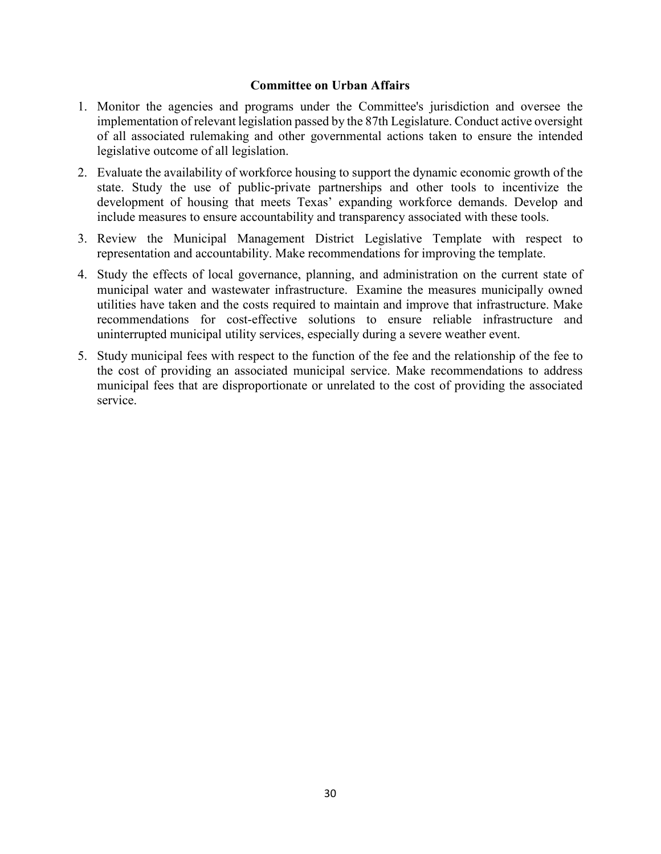#### **Committee on Urban Affairs**

- 1. Monitor the agencies and programs under the Committee's jurisdiction and oversee the implementation of relevant legislation passed by the 87th Legislature. Conduct active oversight of all associated rulemaking and other governmental actions taken to ensure the intended legislative outcome of all legislation.
- 2. Evaluate the availability of workforce housing to support the dynamic economic growth of the state. Study the use of public-private partnerships and other tools to incentivize the development of housing that meets Texas' expanding workforce demands. Develop and include measures to ensure accountability and transparency associated with these tools.
- 3. Review the Municipal Management District Legislative Template with respect to representation and accountability. Make recommendations for improving the template.
- 4. Study the effects of local governance, planning, and administration on the current state of municipal water and wastewater infrastructure. Examine the measures municipally owned utilities have taken and the costs required to maintain and improve that infrastructure. Make recommendations for cost-effective solutions to ensure reliable infrastructure and uninterrupted municipal utility services, especially during a severe weather event.
- 5. Study municipal fees with respect to the function of the fee and the relationship of the fee to the cost of providing an associated municipal service. Make recommendations to address municipal fees that are disproportionate or unrelated to the cost of providing the associated service.